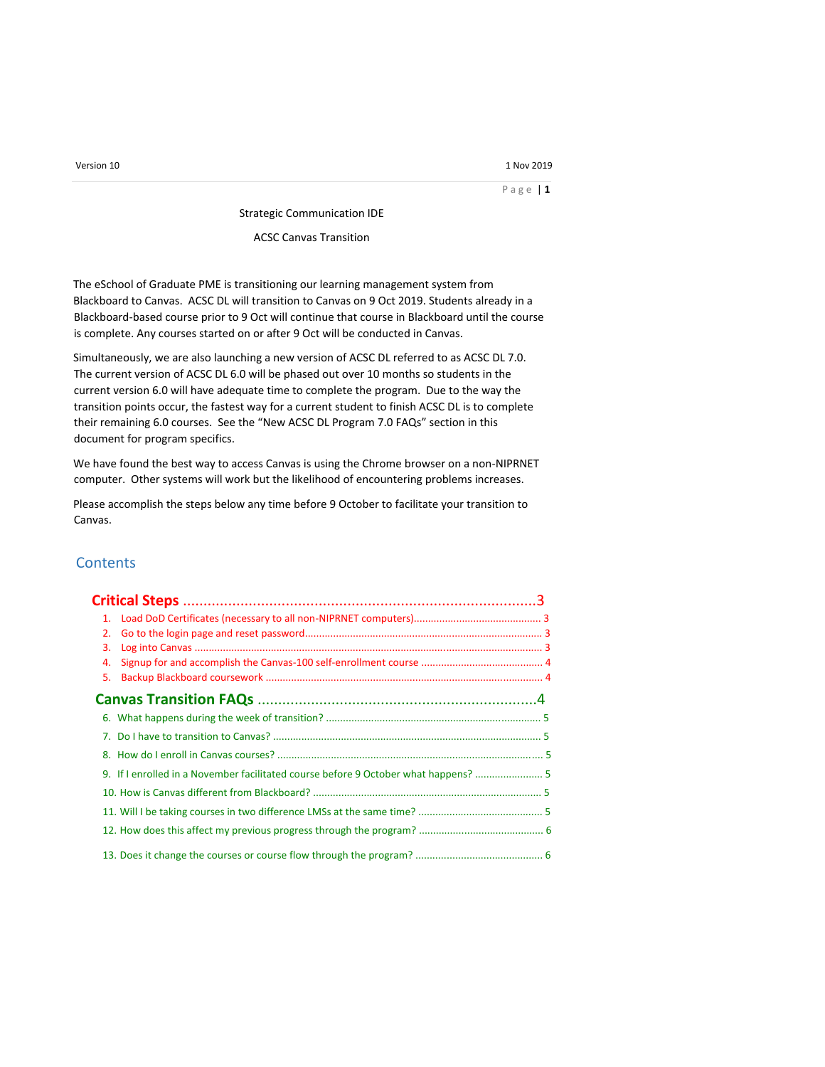P a g e | **1**

Strategic Communication IDE

ACSC Canvas Transition

The eSchool of Graduate PME is transitioning our learning management system from Blackboard to Canvas. ACSC DL will transition to Canvas on 9 Oct 2019. Students already in a Blackboard-based course prior to 9 Oct will continue that course in Blackboard until the course is complete. Any courses started on or after 9 Oct will be conducted in Canvas.

Simultaneously, we are also launching a new version of ACSC DL referred to as ACSC DL 7.0. The current version of ACSC DL 6.0 will be phased out over 10 months so students in the current version 6.0 will have adequate time to complete the program. Due to the way the transition points occur, the fastest way for a current student to finish ACSC DL is to complete their remaining 6.0 courses. See the "New ACSC DL Program 7.0 FAQs" section in this document for program specifics.

We have found the best way to access Canvas is using the Chrome browser on a non-NIPRNET computer. Other systems will work but the likelihood of encountering problems increases.

Please accomplish the steps below any time before 9 October to facilitate your transition to Canvas.

# **Contents**

| 2. |                                                                                     |  |  |
|----|-------------------------------------------------------------------------------------|--|--|
| 3. |                                                                                     |  |  |
| 4. |                                                                                     |  |  |
| 5. |                                                                                     |  |  |
|    |                                                                                     |  |  |
|    |                                                                                     |  |  |
|    |                                                                                     |  |  |
|    |                                                                                     |  |  |
|    | 9. If I enrolled in a November facilitated course before 9 October what happens?  5 |  |  |
|    |                                                                                     |  |  |
|    |                                                                                     |  |  |
|    |                                                                                     |  |  |
|    |                                                                                     |  |  |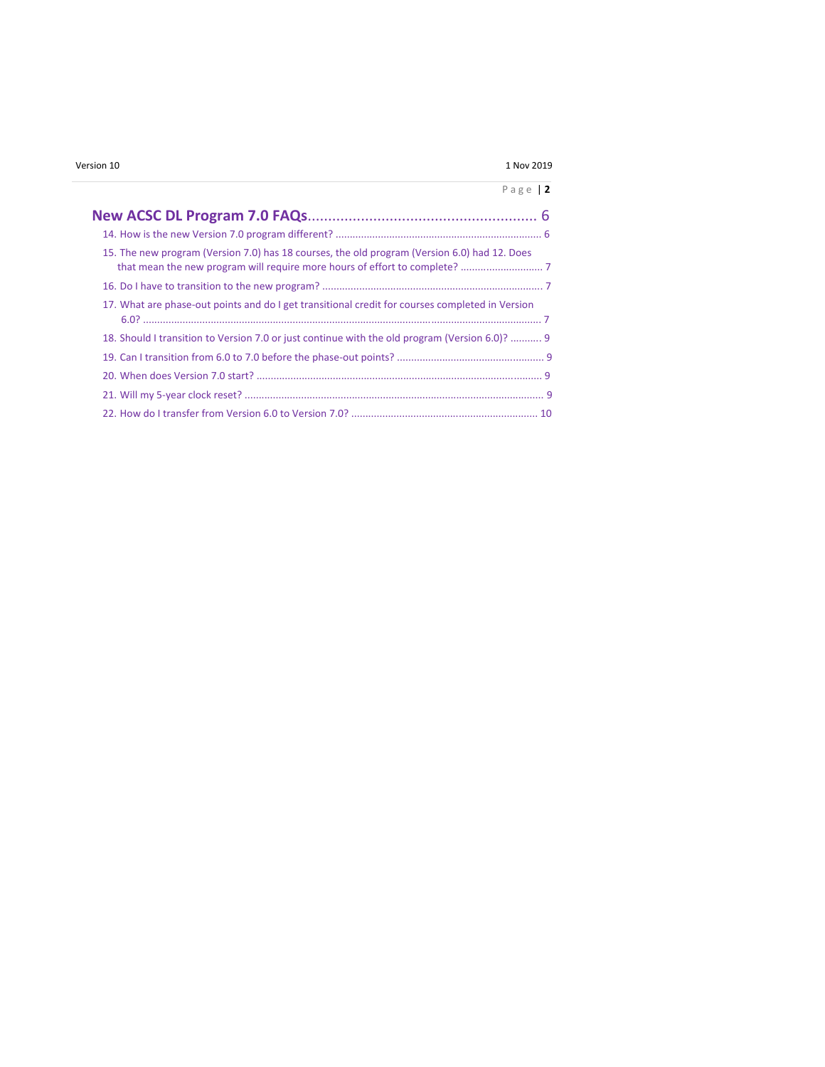## P a g e | **2**

|  | 15. The new program (Version 7.0) has 18 courses, the old program (Version 6.0) had 12. Does    |  |
|--|-------------------------------------------------------------------------------------------------|--|
|  |                                                                                                 |  |
|  | 17. What are phase-out points and do I get transitional credit for courses completed in Version |  |
|  | 18. Should I transition to Version 7.0 or just continue with the old program (Version 6.0)?  9  |  |
|  |                                                                                                 |  |
|  |                                                                                                 |  |
|  |                                                                                                 |  |
|  |                                                                                                 |  |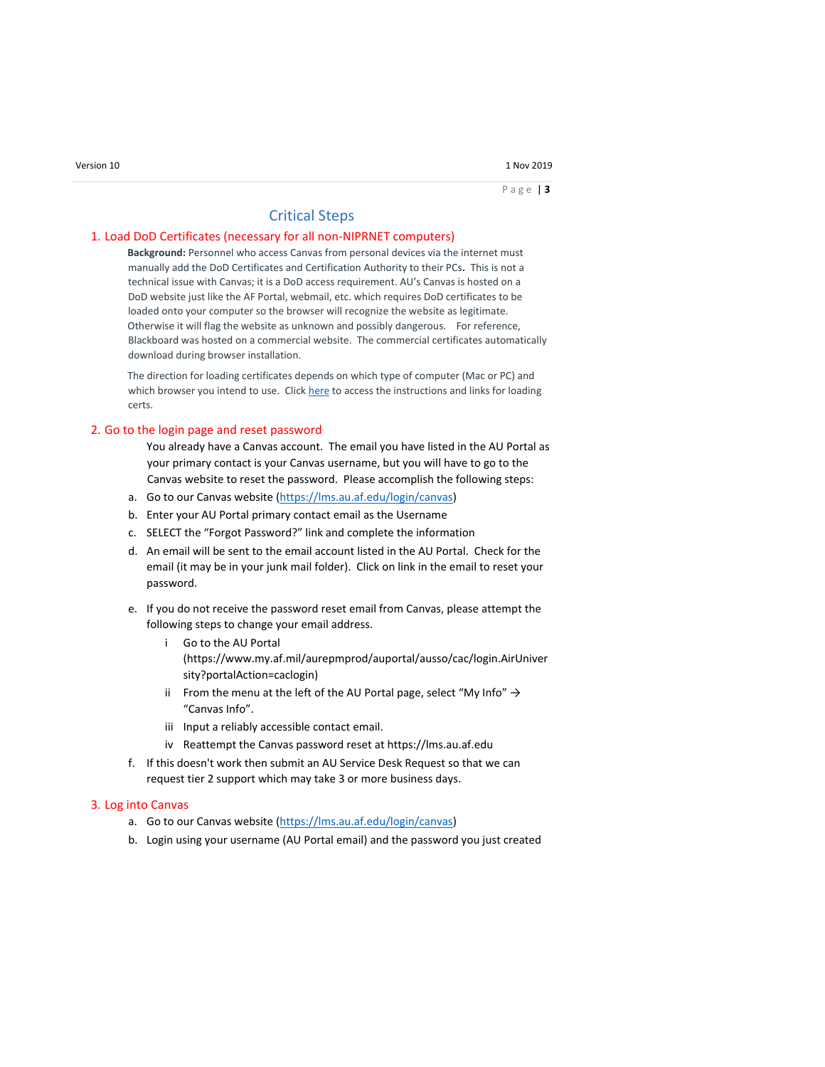# Critical Steps

### 1. Load DoD Certificates (necessary for all non-NIPRNET computers)

**Background:** Personnel who access Canvas from personal devices via the internet must manually add the DoD Certificates and Certification Authority to their PCs**.** This is not a technical issue with Canvas; it is a DoD access requirement. AU's Canvas is hosted on a DoD website just like the AF Portal, webmail, etc. which requires DoD certificates to be loaded onto your computer so the browser will recognize the website as legitimate. Otherwise it will flag the website as unknown and possibly dangerous. For reference, Blackboard was hosted on a commercial website. The commercial certificates automatically download during browser installation.

The direction for loading certificates depends on which type of computer (Mac or PC) and which browser you intend to use. Click [here](https://public.cyber.mil/pki-pke/end-users/getting-started/) [t](https://public.cyber.mil/pki-pke/end-users/getting-started/)o access the instructions and links for loading certs.

### 2. Go to the login page and reset password

You already have a Canvas account. The email you have listed in the AU Portal as your primary contact is your Canvas username, but you will have to go to the Canvas website to reset the password. Please accomplish the following steps:

- a. Go to our Canvas website [\(https://lms.au.af.edu/login/canvas\)](https://lms.au.af.edu/login/canvas)
- b. Enter your AU Portal primary contact email as the Username
- c. SELECT the "Forgot Password?" link and complete the information
- d. An email will be sent to the email account listed in the AU Portal. Check for the email (it may be in your junk mail folder). Click on link in the email to reset your password.
- e. If you do not receive the password reset email from Canvas, please attempt the following steps to change your email address.
	- i Go to the AU Portal (https://www.my.af.mil/aurepmprod/auportal/ausso/cac/login.AirUniver sity?portalAction=caclogin)
	- ii From the menu at the left of the AU Portal page, select "My Info"  $\rightarrow$ "Canvas Info".
	- iii Input a reliably accessible contact email.
	- iv Reattempt the Canvas password reset at https://lms.au.af.edu
- f. If this doesn't work then submit an AU Service Desk Request so that we can request tier 2 support which may take 3 or more business days.

#### 3. Log into Canvas

- a. Go to our Canvas website [\(https://lms.au.af.edu/login/canvas\)](https://lms.au.af.edu/login/canvas)
- b. Login using your username (AU Portal email) and the password you just created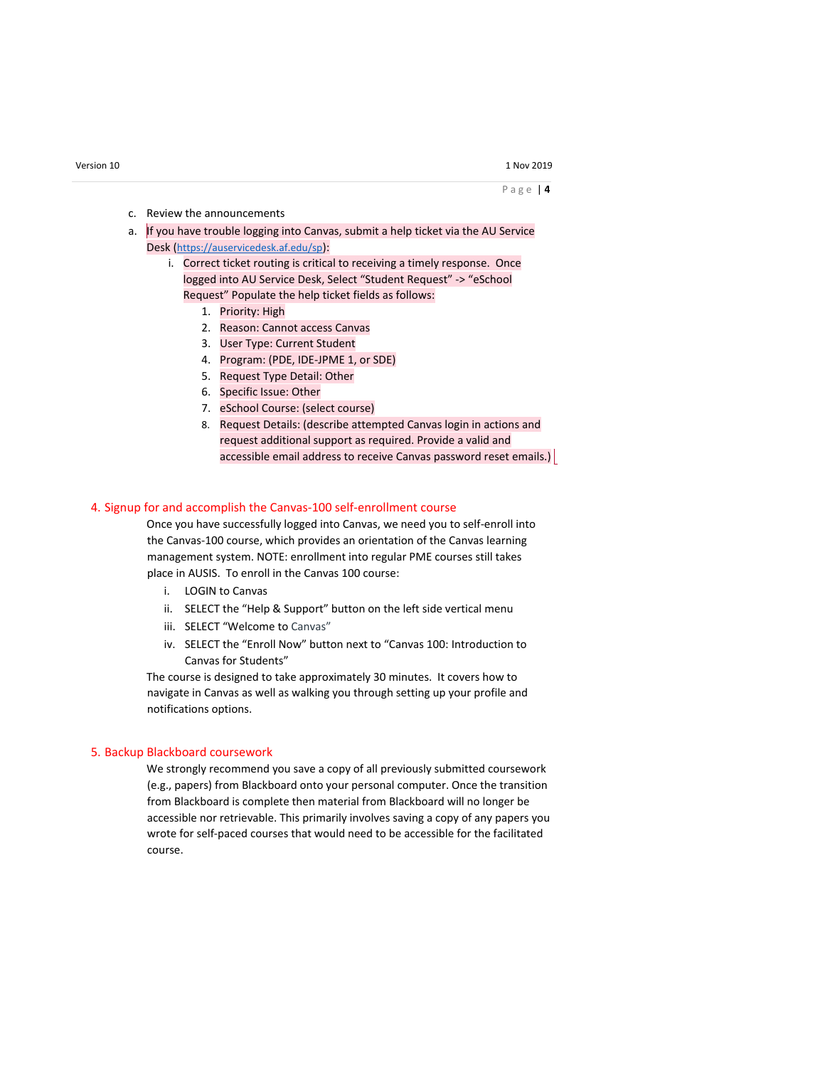- c. Review the announcements
- a. If you have trouble logging into Canvas, submit a help ticket via the AU Service Desk (<https://auservicedesk.af.edu/sp>):
	- i. Correct ticket routing is critical to receiving a timely response. Once logged into AU Service Desk, Select "Student Request" -> "eSchool Request" Populate the help ticket fields as follows:
		- 1. Priority: High
		- 2. Reason: Cannot access Canvas
		- 3. User Type: Current Student
		- 4. Program: (PDE, IDE-JPME 1, or SDE)
		- 5. Request Type Detail: Other
		- 6. Specific Issue: Other
		- 7. eSchool Course: (select course)
		- 8. Request Details: (describe attempted Canvas login in actions and request additional support as required. Provide a valid and accessible email address to receive Canvas password reset emails.)

### 4. Signup for and accomplish the Canvas-100 self-enrollment course

Once you have successfully logged into Canvas, we need you to self-enroll into the Canvas-100 course, which provides an orientation of the Canvas learning management system. NOTE: enrollment into regular PME courses still takes place in AUSIS. To enroll in the Canvas 100 course:

- i. LOGIN to Canvas
- ii. SELECT the "Help & Support" button on the left side vertical menu
- iii. SELECT "Welcome to Canvas"
- iv. SELECT the "Enroll Now" button next to "Canvas 100: Introduction to Canvas for Students"

The course is designed to take approximately 30 minutes. It covers how to navigate in Canvas as well as walking you through setting up your profile and notifications options.

### 5. Backup Blackboard coursework

We strongly recommend you save a copy of all previously submitted coursework (e.g., papers) from Blackboard onto your personal computer. Once the transition from Blackboard is complete then material from Blackboard will no longer be accessible nor retrievable. This primarily involves saving a copy of any papers you wrote for self-paced courses that would need to be accessible for the facilitated course.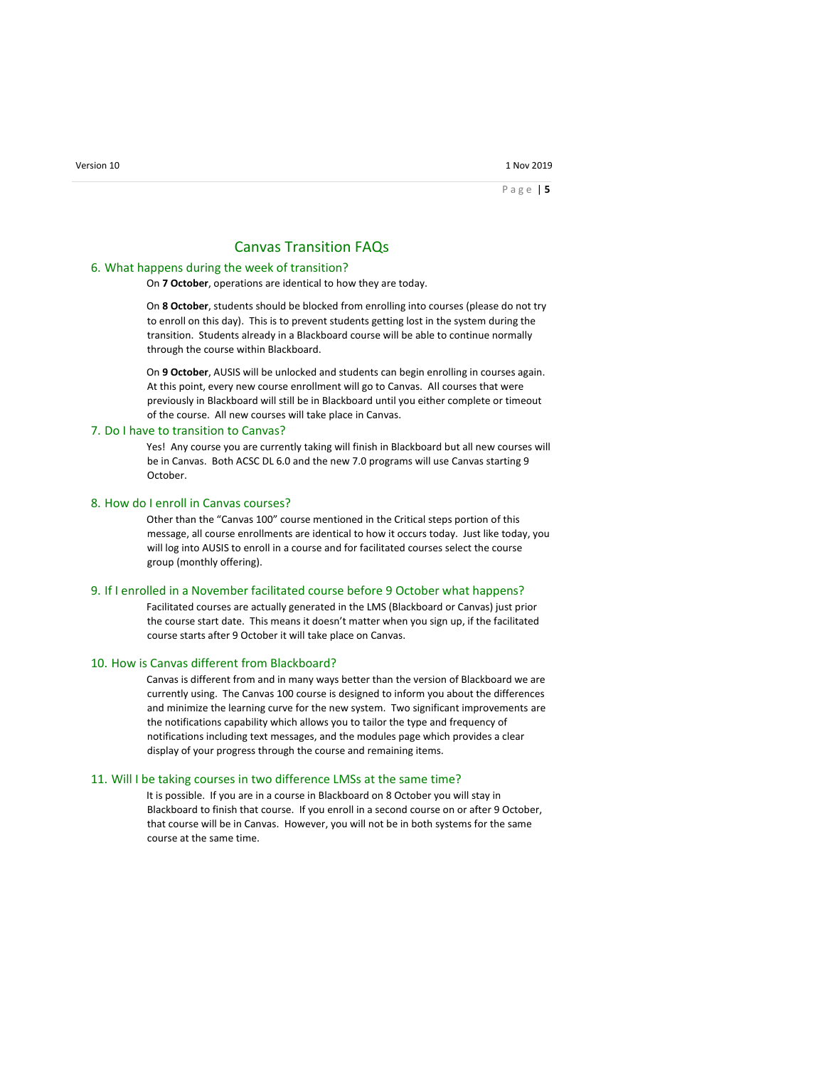# Canvas Transition FAQs

#### 6. What happens during the week of transition?

On **7 October**, operations are identical to how they are today.

On **8 October**, students should be blocked from enrolling into courses (please do not try to enroll on this day). This is to prevent students getting lost in the system during the transition. Students already in a Blackboard course will be able to continue normally through the course within Blackboard.

On **9 October**, AUSIS will be unlocked and students can begin enrolling in courses again. At this point, every new course enrollment will go to Canvas. All courses that were previously in Blackboard will still be in Blackboard until you either complete or timeout of the course. All new courses will take place in Canvas.

#### 7. Do I have to transition to Canvas?

Yes! Any course you are currently taking will finish in Blackboard but all new courses will be in Canvas. Both ACSC DL 6.0 and the new 7.0 programs will use Canvas starting 9 October.

#### 8. How do I enroll in Canvas courses?

Other than the "Canvas 100" course mentioned in the Critical steps portion of this message, all course enrollments are identical to how it occurs today. Just like today, you will log into AUSIS to enroll in a course and for facilitated courses select the course group (monthly offering).

#### 9. If I enrolled in a November facilitated course before 9 October what happens?

Facilitated courses are actually generated in the LMS (Blackboard or Canvas) just prior the course start date. This means it doesn't matter when you sign up, if the facilitated course starts after 9 October it will take place on Canvas.

#### 10. How is Canvas different from Blackboard?

Canvas is different from and in many ways better than the version of Blackboard we are currently using. The Canvas 100 course is designed to inform you about the differences and minimize the learning curve for the new system. Two significant improvements are the notifications capability which allows you to tailor the type and frequency of notifications including text messages, and the modules page which provides a clear display of your progress through the course and remaining items.

#### 11. Will I be taking courses in two difference LMSs at the same time?

It is possible. If you are in a course in Blackboard on 8 October you will stay in Blackboard to finish that course. If you enroll in a second course on or after 9 October, that course will be in Canvas. However, you will not be in both systems for the same course at the same time.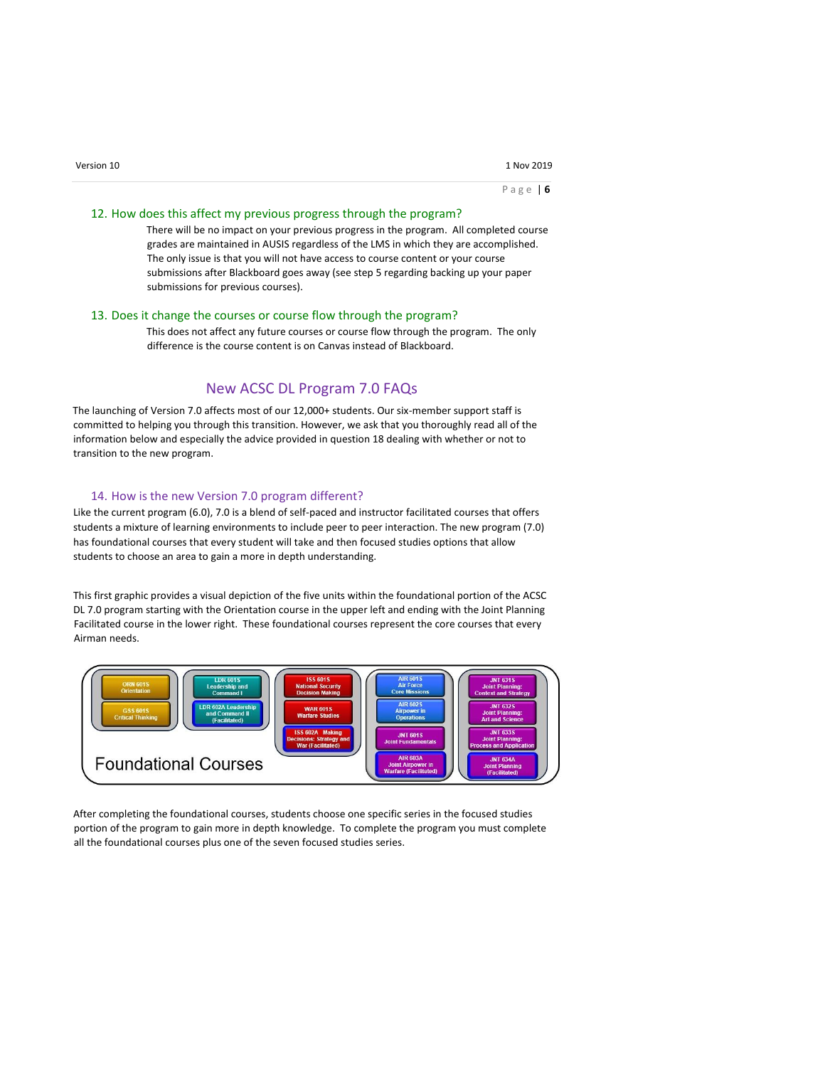### 12. How does this affect my previous progress through the program?

There will be no impact on your previous progress in the program. All completed course grades are maintained in AUSIS regardless of the LMS in which they are accomplished. The only issue is that you will not have access to course content or your course submissions after Blackboard goes away (see step 5 regarding backing up your paper submissions for previous courses).

### 13. Does it change the courses or course flow through the program?

This does not affect any future courses or course flow through the program. The only difference is the course content is on Canvas instead of Blackboard.

# New ACSC DL Program 7.0 FAQs

The launching of Version 7.0 affects most of our 12,000+ students. Our six-member support staff is committed to helping you through this transition. However, we ask that you thoroughly read all of the information below and especially the advice provided in question 18 dealing with whether or not to transition to the new program.

## 14. How is the new Version 7.0 program different?

Like the current program (6.0), 7.0 is a blend of self-paced and instructor facilitated courses that offers students a mixture of learning environments to include peer to peer interaction. The new program (7.0) has foundational courses that every student will take and then focused studies options that allow students to choose an area to gain a more in depth understanding.

This first graphic provides a visual depiction of the five units within the foundational portion of the ACSC DL 7.0 program starting with the Orientation course in the upper left and ending with the Joint Planning Facilitated course in the lower right. These foundational courses represent the core courses that every Airman needs.



After completing the foundational courses, students choose one specific series in the focused studies portion of the program to gain more in depth knowledge. To complete the program you must complete all the foundational courses plus one of the seven focused studies series.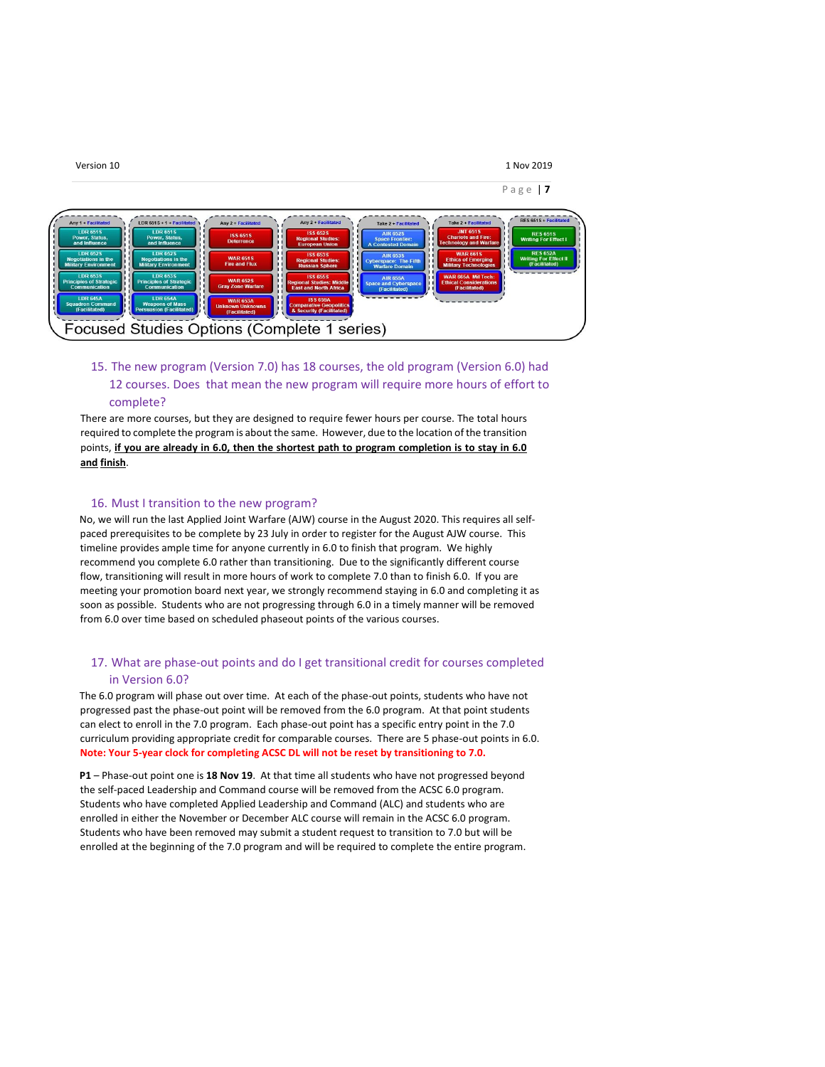

# 15. The new program (Version 7.0) has 18 courses, the old program (Version 6.0) had 12 courses. Does that mean the new program will require more hours of effort to complete?

There are more courses, but they are designed to require fewer hours per course. The total hours required to complete the program is about the same. However, due to the location of the transition points, **if you are already in 6.0, then the shortest path to program completion is to stay in 6.0 and finish**.

### 16. Must I transition to the new program?

No, we will run the last Applied Joint Warfare (AJW) course in the August 2020. This requires all selfpaced prerequisites to be complete by 23 July in order to register for the August AJW course. This timeline provides ample time for anyone currently in 6.0 to finish that program. We highly recommend you complete 6.0 rather than transitioning. Due to the significantly different course flow, transitioning will result in more hours of work to complete 7.0 than to finish 6.0. If you are meeting your promotion board next year, we strongly recommend staying in 6.0 and completing it as soon as possible. Students who are not progressing through 6.0 in a timely manner will be removed from 6.0 over time based on scheduled phaseout points of the various courses.

# 17. What are phase-out points and do I get transitional credit for courses completed in Version 6.0?

The 6.0 program will phase out over time. At each of the phase-out points, students who have not progressed past the phase-out point will be removed from the 6.0 program. At that point students can elect to enroll in the 7.0 program. Each phase-out point has a specific entry point in the 7.0 curriculum providing appropriate credit for comparable courses. There are 5 phase-out points in 6.0. **Note: Your 5-year clock for completing ACSC DL will not be reset by transitioning to 7.0.**

**P1** – Phase-out point one is **18 Nov 19**. At that time all students who have not progressed beyond the self-paced Leadership and Command course will be removed from the ACSC 6.0 program. Students who have completed Applied Leadership and Command (ALC) and students who are enrolled in either the November or December ALC course will remain in the ACSC 6.0 program. Students who have been removed may submit a student request to transition to 7.0 but will be enrolled at the beginning of the 7.0 program and will be required to complete the entire program.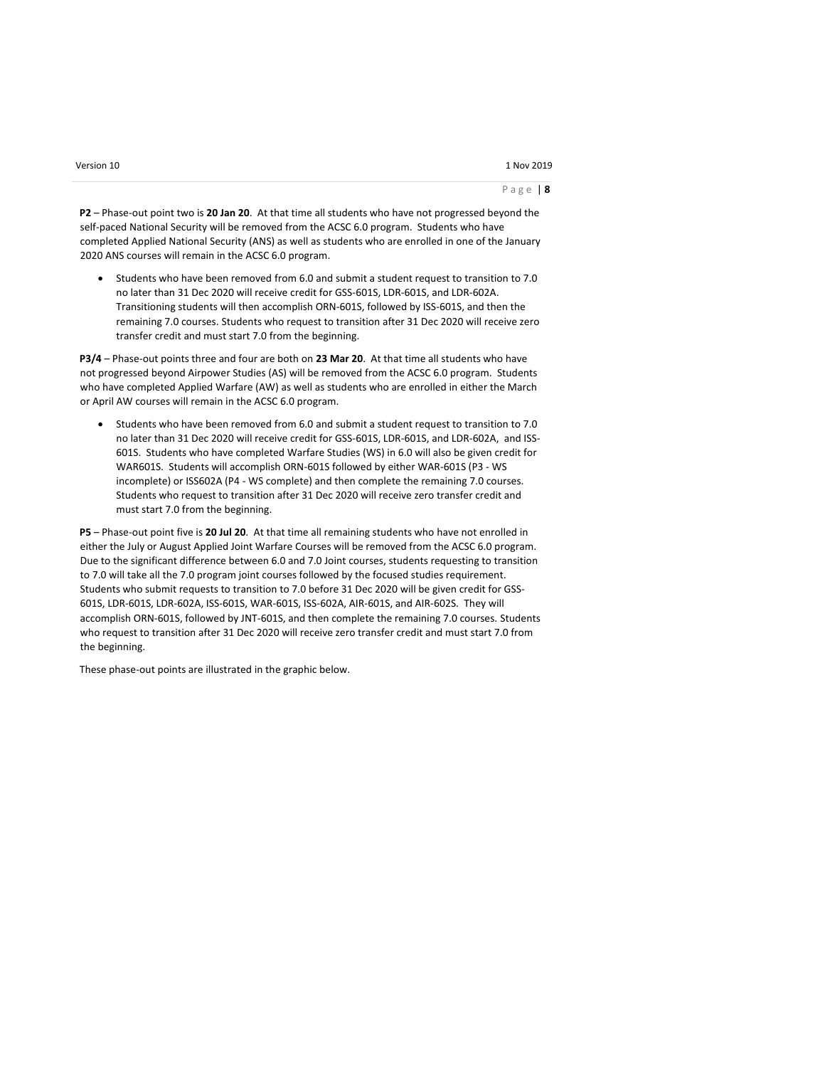#### P a g e | **8**

**P2** – Phase-out point two is **20 Jan 20**. At that time all students who have not progressed beyond the self-paced National Security will be removed from the ACSC 6.0 program. Students who have completed Applied National Security (ANS) as well as students who are enrolled in one of the January 2020 ANS courses will remain in the ACSC 6.0 program.

 Students who have been removed from 6.0 and submit a student request to transition to 7.0 no later than 31 Dec 2020 will receive credit for GSS-601S, LDR-601S, and LDR-602A. Transitioning students will then accomplish ORN-601S, followed by ISS-601S, and then the remaining 7.0 courses. Students who request to transition after 31 Dec 2020 will receive zero transfer credit and must start 7.0 from the beginning.

**P3/4** – Phase-out points three and four are both on **23 Mar 20**. At that time all students who have not progressed beyond Airpower Studies (AS) will be removed from the ACSC 6.0 program. Students who have completed Applied Warfare (AW) as well as students who are enrolled in either the March or April AW courses will remain in the ACSC 6.0 program.

 Students who have been removed from 6.0 and submit a student request to transition to 7.0 no later than 31 Dec 2020 will receive credit for GSS-601S, LDR-601S, and LDR-602A, and ISS-601S. Students who have completed Warfare Studies (WS) in 6.0 will also be given credit for WAR601S. Students will accomplish ORN-601S followed by either WAR-601S (P3 - WS incomplete) or ISS602A (P4 - WS complete) and then complete the remaining 7.0 courses. Students who request to transition after 31 Dec 2020 will receive zero transfer credit and must start 7.0 from the beginning.

**P5** – Phase-out point five is **20 Jul 20**. At that time all remaining students who have not enrolled in either the July or August Applied Joint Warfare Courses will be removed from the ACSC 6.0 program. Due to the significant difference between 6.0 and 7.0 Joint courses, students requesting to transition to 7.0 will take all the 7.0 program joint courses followed by the focused studies requirement. Students who submit requests to transition to 7.0 before 31 Dec 2020 will be given credit for GSS-601S, LDR-601S, LDR-602A, ISS-601S, WAR-601S, ISS-602A, AIR-601S, and AIR-602S. They will accomplish ORN-601S, followed by JNT-601S, and then complete the remaining 7.0 courses. Students who request to transition after 31 Dec 2020 will receive zero transfer credit and must start 7.0 from the beginning.

These phase-out points are illustrated in the graphic below.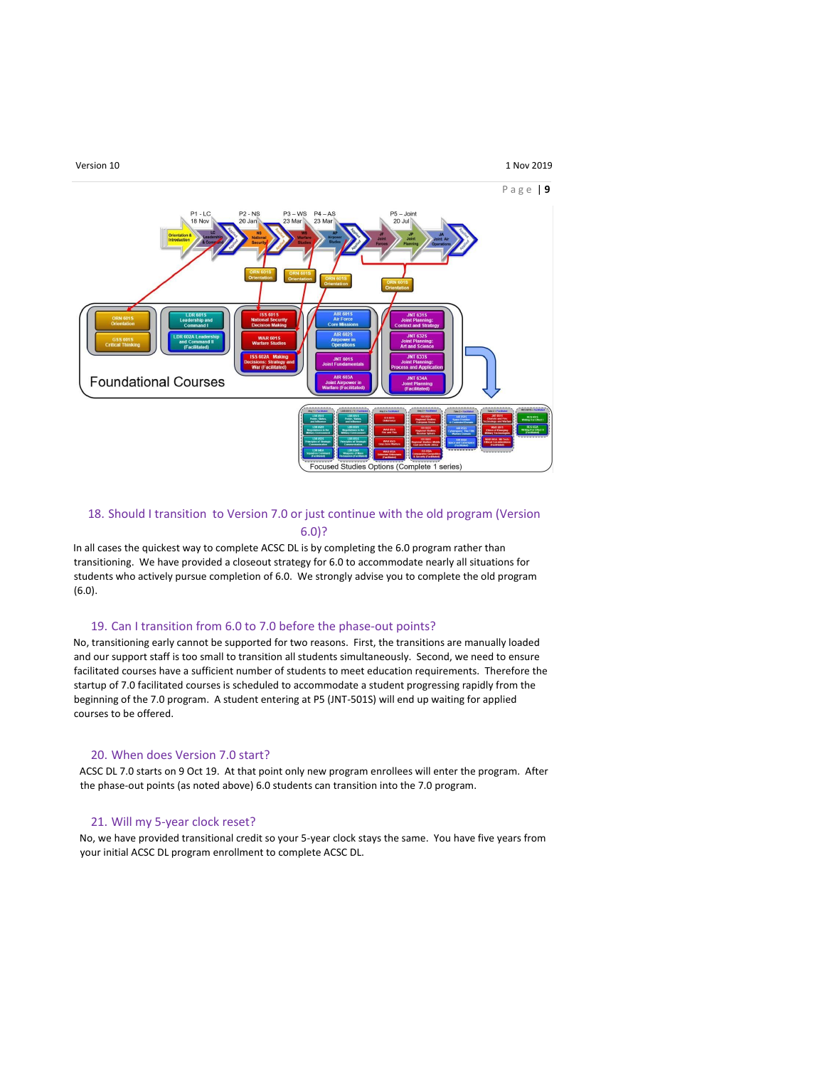#### Version 10 **1 Nov 2019**

#### P a g e | **9**



## 18. Should I transition to Version 7.0 or just continue with the old program (Version 6.0)?

In all cases the quickest way to complete ACSC DL is by completing the 6.0 program rather than transitioning. We have provided a closeout strategy for 6.0 to accommodate nearly all situations for students who actively pursue completion of 6.0. We strongly advise you to complete the old program (6.0).

### 19. Can I transition from 6.0 to 7.0 before the phase-out points?

No, transitioning early cannot be supported for two reasons. First, the transitions are manually loaded and our support staff is too small to transition all students simultaneously. Second, we need to ensure facilitated courses have a sufficient number of students to meet education requirements. Therefore the startup of 7.0 facilitated courses is scheduled to accommodate a student progressing rapidly from the beginning of the 7.0 program. A student entering at P5 (JNT-501S) will end up waiting for applied courses to be offered.

### 20. When does Version 7.0 start?

ACSC DL 7.0 starts on 9 Oct 19. At that point only new program enrollees will enter the program. After the phase-out points (as noted above) 6.0 students can transition into the 7.0 program.

### 21. Will my 5-year clock reset?

No, we have provided transitional credit so your 5-year clock stays the same. You have five years from your initial ACSC DL program enrollment to complete ACSC DL.